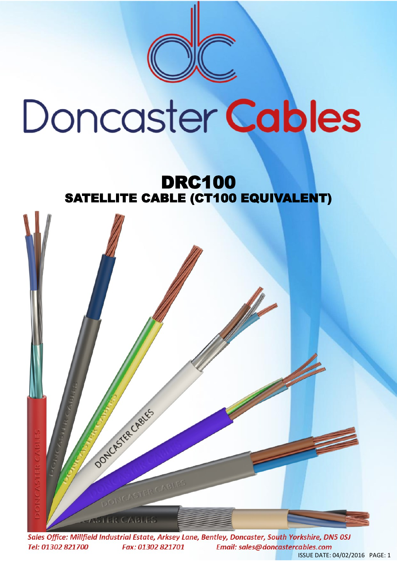

## Doncaster Cables

## DRC100 SATELLITE CABLE (CT100 EQUIVALENT)



Sales Office: Millfield Industrial Estate, Arksey Lane, Bentley, Doncaster, South Yorkshire, DN5 0SJ Tel: 01302 821700 Fax: 01302 821701 Email: sales@doncastercables.com